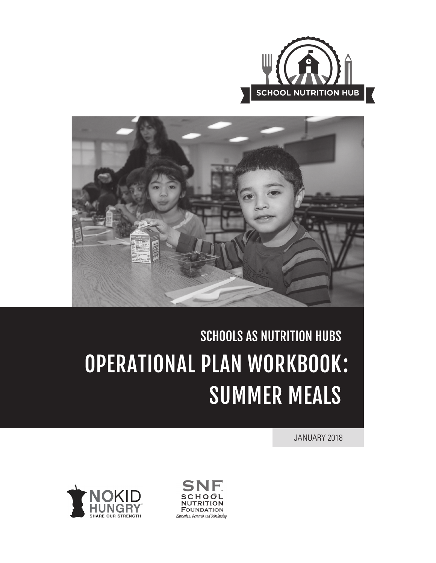



# SCHOOLS AS NUTRITION HUBS OPERATIONAL PLAN WORKBOOK :SUMMER MEALS

JANUARY 2018



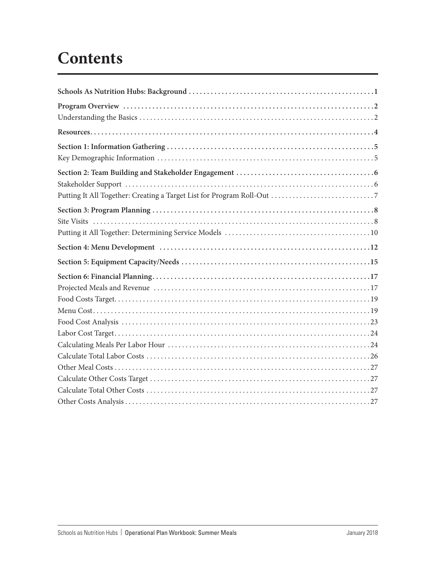## **Contents**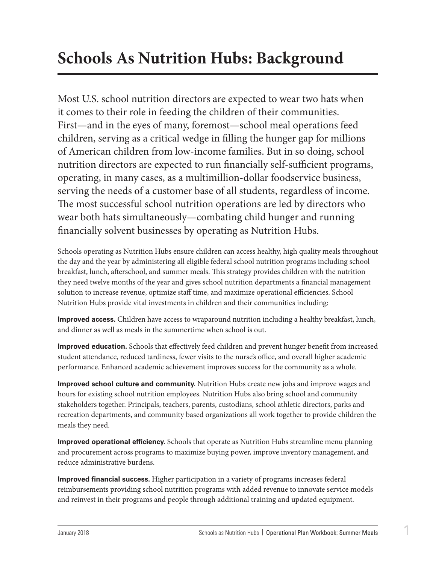## <span id="page-2-0"></span>**Schools As Nutrition Hubs: Background**

Most U.S. school nutrition directors are expected to wear two hats when it comes to their role in feeding the children of their communities. First—and in the eyes of many, foremost—school meal operations feed children, serving as a critical wedge in filling the hunger gap for millions of American children from low-income families. But in so doing, school nutrition directors are expected to run financially self-sufficient programs, operating, in many cases, as a multimillion-dollar foodservice business, serving the needs of a customer base of all students, regardless of income. The most successful school nutrition operations are led by directors who wear both hats simultaneously—combating child hunger and running financially solvent businesses by operating as Nutrition Hubs.

Schools operating as Nutrition Hubs ensure children can access healthy, high quality meals throughout the day and the year by administering all eligible federal school nutrition programs including school breakfast, lunch, afterschool, and summer meals. This strategy provides children with the nutrition they need twelve months of the year and gives school nutrition departments a financial management solution to increase revenue, optimize staff time, and maximize operational efficiencies. School Nutrition Hubs provide vital investments in children and their communities including:

**Improved access.** Children have access to wraparound nutrition including a healthy breakfast, lunch, and dinner as well as meals in the summertime when school is out.

**Improved education.** Schools that effectively feed children and prevent hunger benefit from increased student attendance, reduced tardiness, fewer visits to the nurse's office, and overall higher academic performance. Enhanced academic achievement improves success for the community as a whole.

**Improved school culture and community.** Nutrition Hubs create new jobs and improve wages and hours for existing school nutrition employees. Nutrition Hubs also bring school and community stakeholders together. Principals, teachers, parents, custodians, school athletic directors, parks and recreation departments, and community based organizations all work together to provide children the meals they need.

**Improved operational efficiency.** Schools that operate as Nutrition Hubs streamline menu planning and procurement across programs to maximize buying power, improve inventory management, and reduce administrative burdens.

**Improved financial success.** Higher participation in a variety of programs increases federal reimbursements providing school nutrition programs with added revenue to innovate service models and reinvest in their programs and people through additional training and updated equipment.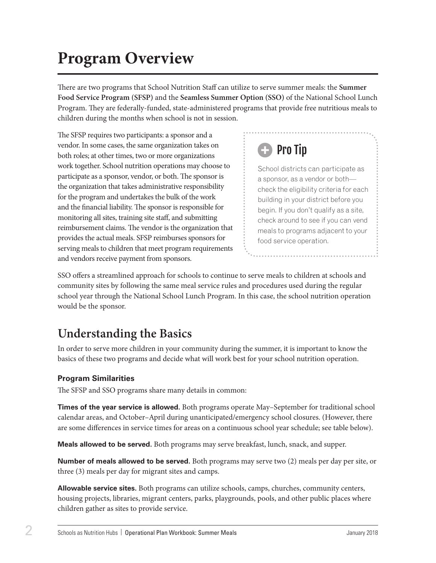## <span id="page-3-0"></span>**Program Overview**

There are two programs that School Nutrition Staff can utilize to serve summer meals: the **Summer Food Service Program (SFSP)** and the **Seamless Summer Option (SSO)** of the National School Lunch Program. They are federally-funded, state-administered programs that provide free nutritious meals to children during the months when school is not in session.

The SFSP requires two participants: a sponsor and a vendor. In some cases, the same organization takes on both roles; at other times, two or more organizations work together. School nutrition operations may choose to participate as a sponsor, vendor, or both. The sponsor is the organization that takes administrative responsibility for the program and undertakes the bulk of the work and the financial liability. The sponsor is responsible for monitoring all sites, training site staff, and submitting reimbursement claims. The vendor is the organization that provides the actual meals. SFSP reimburses sponsors for serving meals to children that meet program requirements and vendors receive payment from sponsors.



School districts can participate as a sponsor, as a vendor or both check the eligibility criteria for each building in your district before you begin. If you don't qualify as a site, check around to see if you can vend meals to programs adjacent to your food service operation.

SSO offers a streamlined approach for schools to continue to serve meals to children at schools and community sites by following the same meal service rules and procedures used during the regular school year through the National School Lunch Program. In this case, the school nutrition operation would be the sponsor.

## **Understanding the Basics**

In order to serve more children in your community during the summer, it is important to know the basics of these two programs and decide what will work best for your school nutrition operation.

#### **Program Similarities**

The SFSP and SSO programs share many details in common:

**Times of the year service is allowed.** Both programs operate May–September for traditional school calendar areas, and October–April during unanticipated/emergency school closures. (However, there are some differences in service times for areas on a continuous school year schedule; see table below).

**Meals allowed to be served.** Both programs may serve breakfast, lunch, snack, and supper.

**Number of meals allowed to be served.** Both programs may serve two (2) meals per day per site, or three (3) meals per day for migrant sites and camps.

**Allowable service sites.** Both programs can utilize schools, camps, churches, community centers, housing projects, libraries, migrant centers, parks, playgrounds, pools, and other public places where children gather as sites to provide service.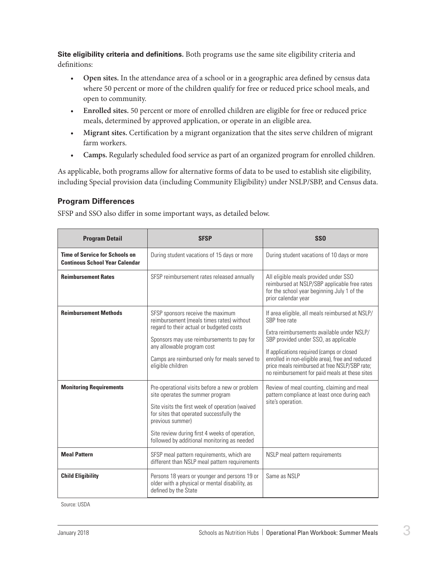**Site eligibility criteria and definitions.** Both programs use the same site eligibility criteria and definitions:

- **Open sites.** In the attendance area of a school or in a geographic area defined by census data where 50 percent or more of the children qualify for free or reduced price school meals, and open to community.
- **Enrolled sites.** 50 percent or more of enrolled children are eligible for free or reduced price meals, determined by approved application, or operate in an eligible area.
- **Migrant sites.** Certification by a migrant organization that the sites serve children of migrant farm workers.
- **Camps.** Regularly scheduled food service as part of an organized program for enrolled children.

As applicable, both programs allow for alternative forms of data to be used to establish site eligibility, including Special provision data (including Community Eligibility) under NSLP/SBP, and Census data.

#### **Program Differences**

SFSP and SSO also differ in some important ways, as detailed below.

| <b>Program Detail</b>                                                          | <b>SFSP</b>                                                                                                                                                                                                                                                                                            | <b>SSO</b>                                                                                                                                                                                                                                                                                                                                                  |
|--------------------------------------------------------------------------------|--------------------------------------------------------------------------------------------------------------------------------------------------------------------------------------------------------------------------------------------------------------------------------------------------------|-------------------------------------------------------------------------------------------------------------------------------------------------------------------------------------------------------------------------------------------------------------------------------------------------------------------------------------------------------------|
| <b>Time of Service for Schools on</b><br><b>Continous School Year Calendar</b> | During student vacations of 15 days or more                                                                                                                                                                                                                                                            | During student vacations of 10 days or more                                                                                                                                                                                                                                                                                                                 |
| <b>Reimbursement Rates</b>                                                     | SFSP reimbursement rates released annually                                                                                                                                                                                                                                                             | All eligible meals provided under SSO<br>reimbursed at NSLP/SBP applicable free rates<br>for the school year beginning July 1 of the<br>prior calendar year                                                                                                                                                                                                 |
| <b>Reimbursement Methods</b>                                                   | SFSP sponsors receive the maximum<br>reimbursement (meals times rates) without<br>regard to their actual or budgeted costs<br>Sponsors may use reimbursements to pay for<br>any allowable program cost<br>Camps are reimbursed only for meals served to<br>eligible children                           | If area eligible, all meals reimbursed at NSLP/<br>SBP free rate<br>Extra reimbursements available under NSLP/<br>SBP provided under SSO, as applicable<br>If applications required (camps or closed<br>enrolled in non-eligible area), free and reduced<br>price meals reimbursed at free NSLP/SBP rate;<br>no reimbursement for paid meals at these sites |
| <b>Monitoring Requirements</b>                                                 | Pre-operational visits before a new or problem<br>site operates the summer program<br>Site visits the first week of operation (waived<br>for sites that operated successfully the<br>previous summer)<br>Site review during first 4 weeks of operation,<br>followed by additional monitoring as needed | Review of meal counting, claiming and meal<br>pattern compliance at least once during each<br>site's operation.                                                                                                                                                                                                                                             |
| <b>Meal Pattern</b>                                                            | SFSP meal pattern requirements, which are<br>different than NSLP meal pattern requirements                                                                                                                                                                                                             | NSLP meal pattern requirements                                                                                                                                                                                                                                                                                                                              |
| <b>Child Eligibility</b>                                                       | Persons 18 years or younger and persons 19 or<br>older with a physical or mental disability, as<br>defined by the State                                                                                                                                                                                | Same as NSLP                                                                                                                                                                                                                                                                                                                                                |

Source: USDA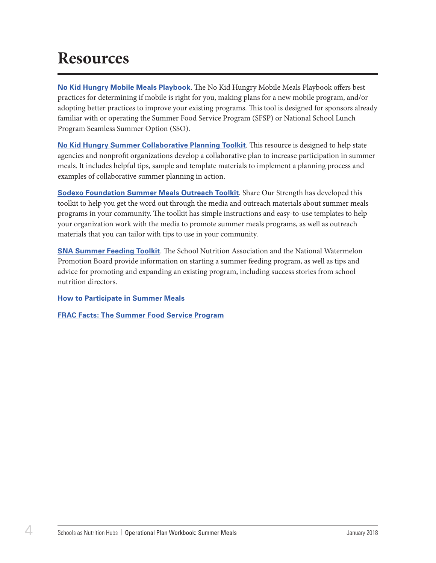## <span id="page-5-0"></span>**Resources**

**[No Kid Hungry Mobile Meals Playbook](https://bestpractices.nokidhungry.org/summer-meals/mobile-meals-playbook)**. The No Kid Hungry Mobile Meals Playbook offers best practices for determining if mobile is right for you, making plans for a new mobile program, and/or adopting better practices to improve your existing programs. This tool is designed for sponsors already familiar with or operating the Summer Food Service Program (SFSP) or National School Lunch Program Seamless Summer Option (SSO).

**[No Kid Hungry Summer Collaborative Planning Toolkit](https://bestpractices.nokidhungry.org/no-kid-hungry-summer-collaborative-planning-toolkit)**. This resource is designed to help state agencies and nonprofit organizations develop a collaborative plan to increase participation in summer meals. It includes helpful tips, sample and template materials to implement a planning process and examples of collaborative summer planning in action.

**[Sodexo Foundation Summer Meals Outreach Toolkit](https://bestpractices.nokidhungry.org/summer-meals/sodexo-stop-hunger-foundation-summer-meals-outreach-toolkit)**. Share Our Strength has developed this toolkit to help you get the word out through the media and outreach materials about summer meals programs in your community. The toolkit has simple instructions and easy-to-use templates to help your organization work with the media to promote summer meals programs, as well as outreach materials that you can tailor with tips to use in your community.

**[SNA Summer Feeding Toolkit](https://schoolnutrition.org/resources/operations/summerfeedingtoolkit/)**. The School Nutrition Association and the National Watermelon Promotion Board provide information on starting a summer feeding program, as well as tips and advice for promoting and expanding an existing program, including success stories from school nutrition directors.

**[How to Participate in Summer Meals](https://fns-prod.azureedge.net/sites/default/files/sfsp/SFSP-Fact-Sheet.pdf)**

**[FRAC Facts: The Summer Food Service Program](http://frac.org/wp-content/uploads/sfsp_fact_sheet.pdf)**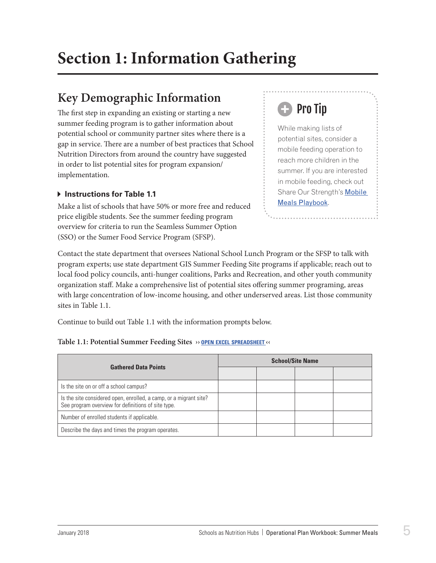## <span id="page-6-0"></span>**Section 1: Information Gathering**

### **Key Demographic Information**

The first step in expanding an existing or starting a new summer feeding program is to gather information about potential school or community partner sites where there is a gap in service. There are a number of best practices that School Nutrition Directors from around the country have suggested in order to list potential sites for program expansion/ implementation.

#### **Instructions for Table 1.1**

Make a list of schools that have 50% or more free and reduced price eligible students. See the summer feeding program overview for criteria to run the Seamless Summer Option (SSO) or the Sumer Food Service Program (SFSP).

## Pro Tip

While making lists of potential sites, consider a mobile feeding operation to reach more children in the summer. If you are interested in mobile feeding, check out [Share Our Strength's](https://bestpractices.nokidhungry.org/summer-meals/mobile-meals-playbook) Mobile [Meals Playbook](https://bestpractices.nokidhungry.org/summer-meals/mobile-meals-playbook).

Contact the state department that oversees National School Lunch Program or the SFSP to talk with program experts; use state department GIS Summer Feeding Site programs if applicable; reach out to local food policy councils, anti-hunger coalitions, Parks and Recreation, and other youth community organization staff. Make a comprehensive list of potential sites offering summer programing, areas with large concentration of low-income housing, and other underserved areas. List those community sites in Table 1.1.

Continue to build out Table 1.1 with the information prompts below.

#### **Table 1.1: Potential Summer Feeding Sites ›› open excel [spreadsheet](https://schoolnutrition.org/uploadedFiles/2_Meetings_and_Events/SNF/Pages/summer-LR-121417.xlsx) ‹‹**

| <b>Gathered Data Points</b>                                                                                             | <b>School/Site Name</b> |  |  |  |  |
|-------------------------------------------------------------------------------------------------------------------------|-------------------------|--|--|--|--|
|                                                                                                                         |                         |  |  |  |  |
| Is the site on or off a school campus?                                                                                  |                         |  |  |  |  |
| Is the site considered open, enrolled, a camp, or a migrant site?<br>See program overview for definitions of site type. |                         |  |  |  |  |
| Number of enrolled students if applicable.                                                                              |                         |  |  |  |  |
| Describe the days and times the program operates.                                                                       |                         |  |  |  |  |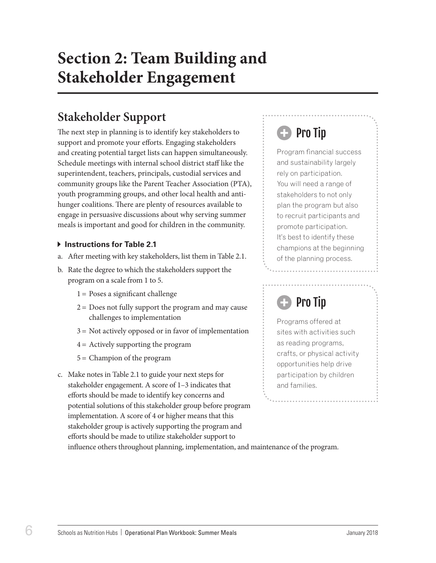## <span id="page-7-0"></span>**Section 2: Team Building and Stakeholder Engagement**

### **Stakeholder Support**

The next step in planning is to identify key stakeholders to support and promote your efforts. Engaging stakeholders and creating potential target lists can happen simultaneously. Schedule meetings with internal school district staff like the superintendent, teachers, principals, custodial services and community groups like the Parent Teacher Association (PTA), youth programming groups, and other local health and antihunger coalitions. There are plenty of resources available to engage in persuasive discussions about why serving summer meals is important and good for children in the community.

#### **Instructions for Table 2.1**

- a. After meeting with key stakeholders, list them in Table 2.1.
- b. Rate the degree to which the stakeholders support the program on a scale from 1 to 5.
	- $1 =$  Poses a significant challenge
	- $2 =$  Does not fully support the program and may cause challenges to implementation
	- 3 = Not actively opposed or in favor of implementation
	- 4 = Actively supporting the program
	- 5 = Champion of the program
- c. Make notes in Table 2.1 to guide your next steps for stakeholder engagement. A score of 1–3 indicates that efforts should be made to identify key concerns and potential solutions of this stakeholder group before program implementation. A score of 4 or higher means that this stakeholder group is actively supporting the program and efforts should be made to utilize stakeholder support to

## Pro Tip

Program financial success and sustainability largely rely on participation. You will need a range of stakeholders to not only plan the program but also to recruit participants and promote participation. It's best to identify these champions at the beginning of the planning process.

## Pro Tip

Programs offered at sites with activities such as reading programs, crafts, or physical activity opportunities help drive participation by children and families.

influence others throughout planning, implementation, and maintenance of the program.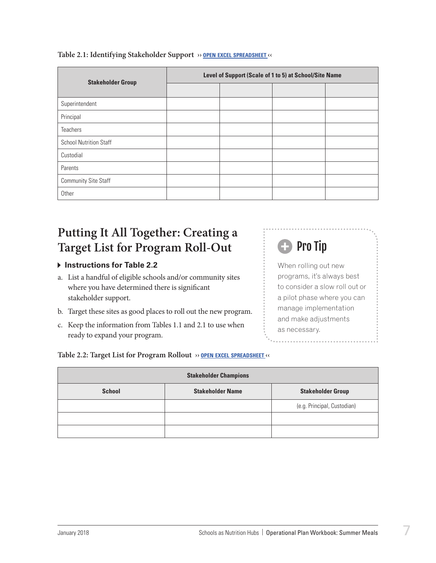| <b>Stakeholder Group</b>      | Level of Support (Scale of 1 to 5) at School/Site Name |  |  |  |  |  |
|-------------------------------|--------------------------------------------------------|--|--|--|--|--|
|                               |                                                        |  |  |  |  |  |
| Superintendent                |                                                        |  |  |  |  |  |
| Principal                     |                                                        |  |  |  |  |  |
| <b>Teachers</b>               |                                                        |  |  |  |  |  |
| <b>School Nutrition Staff</b> |                                                        |  |  |  |  |  |
| Custodial                     |                                                        |  |  |  |  |  |
| Parents                       |                                                        |  |  |  |  |  |
| <b>Community Site Staff</b>   |                                                        |  |  |  |  |  |
| Other                         |                                                        |  |  |  |  |  |

#### <span id="page-8-0"></span>**Table 2.1: Identifying Stakeholder Support ›› open excel [spreadsheet](https://schoolnutrition.org/uploadedFiles/2_Meetings_and_Events/SNF/Pages/summer-LR-121417.xlsx) ‹‹**

### **Putting It All Together: Creating a Target List for Program Roll-Out**

#### **Instructions for Table 2.2**

- a. List a handful of eligible schools and/or community sites where you have determined there is significant stakeholder support.
- b. Target these sites as good places to roll out the new program.
- c. Keep the information from Tables 1.1 and 2.1 to use when ready to expand your program.

## **Pro Tip**

When rolling out new programs, it's always best to consider a slow roll out or a pilot phase where you can manage implementation and make adjustments as necessary.

#### **Table 2.2: Target List for Program Rollout ›› open excel [spreadsheet](https://schoolnutrition.org/uploadedFiles/2_Meetings_and_Events/SNF/Pages/summer-LR-121417.xlsx) ‹‹**

| <b>Stakeholder Champions</b>                                         |  |                             |  |  |  |  |  |
|----------------------------------------------------------------------|--|-----------------------------|--|--|--|--|--|
| <b>School</b><br><b>Stakeholder Name</b><br><b>Stakeholder Group</b> |  |                             |  |  |  |  |  |
|                                                                      |  | (e.g. Principal, Custodian) |  |  |  |  |  |
|                                                                      |  |                             |  |  |  |  |  |
|                                                                      |  |                             |  |  |  |  |  |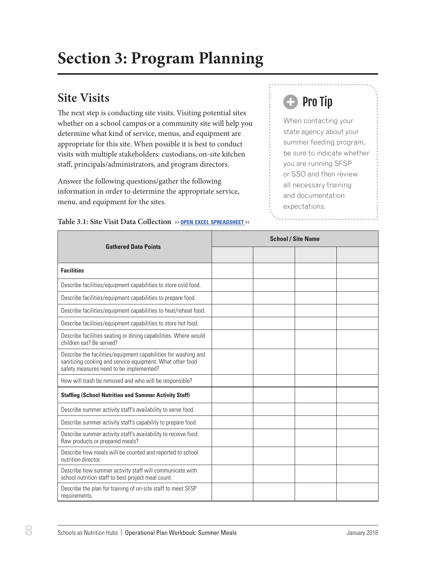## <span id="page-9-0"></span>**Section 3: Program Planning**

### **Site Visits**

The next step is conducting site visits. Visiting potential sites whether on a school campus or a community site will help you determine what kind of service, menus, and equipment are appropriate for this site. When possible it is best to conduct visits with multiple stakeholders: custodians, on-site kitchen staff, principals/administrators, and program directors.

Answer the following questions/gather the following information in order to determine the appropriate service, menu, and equipment for the sites.

## **B** Pro Tip

When contacting your state agency about your summer feeding program, be sure to indicate whether you are running SFSP or SSO and then review all necessary training and documentation expectations.

|                                                                                                                                                                        | <b>School / Site Name</b> |  |  |  |
|------------------------------------------------------------------------------------------------------------------------------------------------------------------------|---------------------------|--|--|--|
| <b>Gathered Data Points</b>                                                                                                                                            |                           |  |  |  |
| <b>Facilities</b>                                                                                                                                                      |                           |  |  |  |
| Describe facilities/equipment capabilities to store cold food.                                                                                                         |                           |  |  |  |
| Describe facilities/equipment capabilities to prepare food.                                                                                                            |                           |  |  |  |
| Describe facilities/equipment capabilities to heat/reheat food.                                                                                                        |                           |  |  |  |
| Describe facilities/equipment capabilities to store hot food.                                                                                                          |                           |  |  |  |
| Describe facilities seating or dining capabilities. Where would<br>children eat? Be served?                                                                            |                           |  |  |  |
| Describe the facilities/equipment capabilities for washing and<br>sanitizing cooking and service equipment. What other food<br>safety measures need to be implemented? |                           |  |  |  |
| How will trash be removed and who will be responsible?                                                                                                                 |                           |  |  |  |
| <b>Staffing (School Nutrition and Summer Activity Staff)</b>                                                                                                           |                           |  |  |  |
| Describe summer activity staff's availability to serve food.                                                                                                           |                           |  |  |  |
| Describe summer activity staff's capability to prepare food.                                                                                                           |                           |  |  |  |
| Describe summer activity staff's availability to receive food.<br>Raw products or prepared meals?                                                                      |                           |  |  |  |
| Describe how meals will be counted and reported to school<br>nutrition director.                                                                                       |                           |  |  |  |
| Describe how summer activity staff will communicate with<br>school nutrition staff to best project meal count.                                                         |                           |  |  |  |
| Describe the plan for training of on-site staff to meet SFSP<br>requirements.                                                                                          |                           |  |  |  |

**Table 3.1: Site Visit Data Collection ›› open excel [spreadsheet](https://schoolnutrition.org/uploadedFiles/2_Meetings_and_Events/SNF/Pages/summer-LR-121417.xlsx) ‹‹**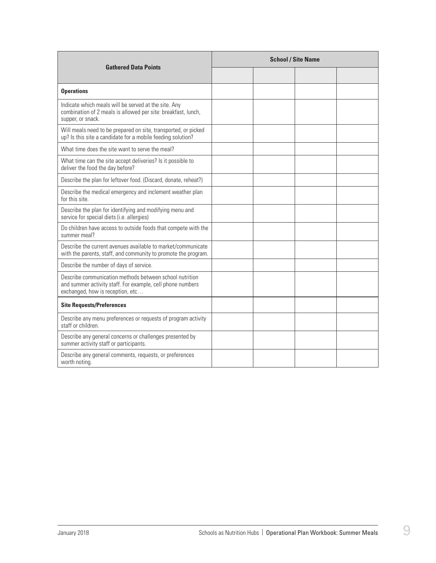|                                                                                                                                                           | <b>School / Site Name</b> |  |  |  |  |
|-----------------------------------------------------------------------------------------------------------------------------------------------------------|---------------------------|--|--|--|--|
| <b>Gathered Data Points</b>                                                                                                                               |                           |  |  |  |  |
| <b>Operations</b>                                                                                                                                         |                           |  |  |  |  |
| Indicate which meals will be served at the site. Any<br>combination of 2 meals is allowed per site: breakfast, lunch,<br>supper, or snack.                |                           |  |  |  |  |
| Will meals need to be prepared on site, transported, or picked<br>up? Is this site a candidate for a mobile feeding solution?                             |                           |  |  |  |  |
| What time does the site want to serve the meal?                                                                                                           |                           |  |  |  |  |
| What time can the site accept deliveries? Is it possible to<br>deliver the food the day before?                                                           |                           |  |  |  |  |
| Describe the plan for leftover food. (Discard, donate, reheat?)                                                                                           |                           |  |  |  |  |
| Describe the medical emergency and inclement weather plan<br>for this site.                                                                               |                           |  |  |  |  |
| Describe the plan for identifying and modifying menu and<br>service for special diets (i.e. allergies)                                                    |                           |  |  |  |  |
| Do children have access to outside foods that compete with the<br>summer meal?                                                                            |                           |  |  |  |  |
| Describe the current avenues available to market/communicate<br>with the parents, staff, and community to promote the program.                            |                           |  |  |  |  |
| Describe the number of days of service.                                                                                                                   |                           |  |  |  |  |
| Describe communication methods between school nutrition<br>and summer activity staff. For example, cell phone numbers<br>exchanged, how is reception, etc |                           |  |  |  |  |
| <b>Site Requests/Preferences</b>                                                                                                                          |                           |  |  |  |  |
| Describe any menu preferences or requests of program activity<br>staff or children.                                                                       |                           |  |  |  |  |
| Describe any general concerns or challenges presented by<br>summer activity staff or participants.                                                        |                           |  |  |  |  |
| Describe any general comments, requests, or preferences<br>worth noting.                                                                                  |                           |  |  |  |  |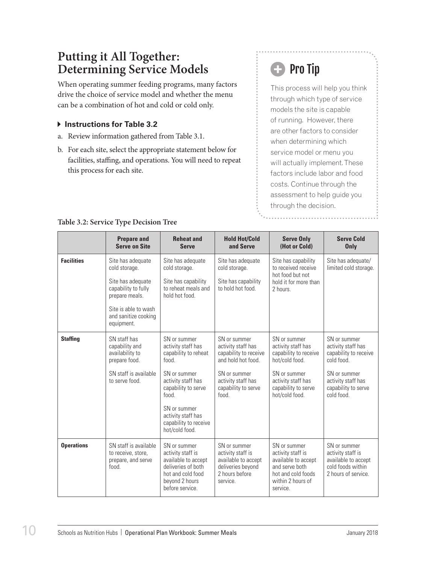### <span id="page-11-0"></span>**Putting it All Together: Determining Service Models**

When operating summer feeding programs, many factors drive the choice of service model and whether the menu can be a combination of hot and cold or cold only.

- **Instructions for Table 3.2**
- a. Review information gathered from Table 3.1.
- b. For each site, select the appropriate statement below for facilities, staffing, and operations. You will need to repeat this process for each site.

## **B** Pro Tip

This process will help you think through which type of service models the site is capable of running. However, there are other factors to consider when determining which service model or menu you will actually implement. These factors include labor and food costs. Continue through the assessment to help guide you through the decision.

|                   | <b>Prepare and</b><br><b>Serve on Site</b>                                                                                                                     | <b>Reheat and</b><br><b>Serve</b>                                                                                                                                                                                          | <b>Hold Hot/Cold</b><br>and Serve                                                                                                                      | <b>Serve Only</b><br>(Hot or Cold)                                                                                                                           | <b>Serve Cold</b><br><b>Only</b>                                                                                                                    |
|-------------------|----------------------------------------------------------------------------------------------------------------------------------------------------------------|----------------------------------------------------------------------------------------------------------------------------------------------------------------------------------------------------------------------------|--------------------------------------------------------------------------------------------------------------------------------------------------------|--------------------------------------------------------------------------------------------------------------------------------------------------------------|-----------------------------------------------------------------------------------------------------------------------------------------------------|
| <b>Facilities</b> | Site has adequate<br>cold storage.<br>Site has adequate<br>capability to fully<br>prepare meals.<br>Site is able to wash<br>and sanitize cooking<br>equipment. | Site has adequate<br>cold storage.<br>Site has capability<br>to reheat meals and<br>hold hot food.                                                                                                                         | Site has adequate<br>cold storage.<br>Site has capability<br>to hold hot food                                                                          | Site has capability<br>to received receive<br>hot food but not<br>hold it for more than<br>2 hours.                                                          | Site has adequate/<br>limited cold storage.                                                                                                         |
| <b>Staffing</b>   | SN staff has<br>capability and<br>availability to<br>prepare food.<br>SN staff is available<br>to serve food.                                                  | SN or summer<br>activity staff has<br>capability to reheat<br>food.<br>SN or summer<br>activity staff has<br>capability to serve<br>food.<br>SN or summer<br>activity staff has<br>capability to receive<br>hot/cold food. | SN or summer<br>activity staff has<br>capability to receive<br>and hold hot food<br>SN or summer<br>activity staff has<br>capability to serve<br>food. | SN or summer<br>activity staff has<br>capability to receive<br>hot/cold food.<br>SN or summer<br>activity staff has<br>capability to serve<br>hot/cold food. | SN or summer<br>activity staff has<br>capability to receive<br>cold food.<br>SN or summer<br>activity staff has<br>capability to serve<br>hoot hlop |
| <b>Operations</b> | SN staff is available<br>to receive, store,<br>prepare, and serve<br>food.                                                                                     | SN or summer<br>activity staff is<br>available to accept<br>deliveries of both<br>hot and cold food<br>beyond 2 hours<br>before service.                                                                                   | SN or summer<br>activity staff is<br>available to accept<br>deliveries beyond<br>2 hours before<br>service.                                            | SN or summer<br>activity staff is<br>available to accept<br>and serve both<br>hot and cold foods<br>within 2 hours of<br>service.                            | SN or summer<br>activity staff is<br>available to accept<br>cold foods within<br>2 hours of service.                                                |

#### **Table 3.2: Service Type Decision Tree**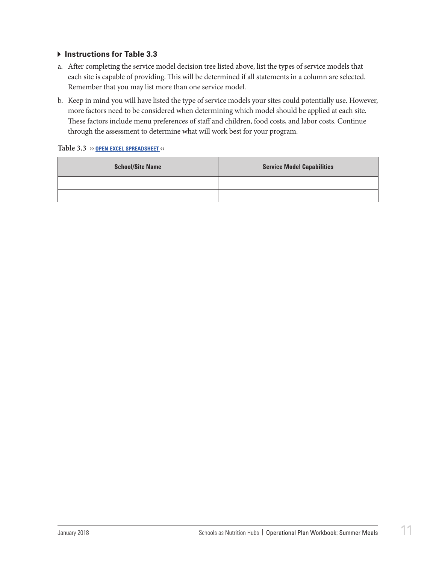#### **Instructions for Table 3.3**

- a. After completing the service model decision tree listed above, list the types of service models that each site is capable of providing. This will be determined if all statements in a column are selected. Remember that you may list more than one service model.
- b. Keep in mind you will have listed the type of service models your sites could potentially use. However, more factors need to be considered when determining which model should be applied at each site. These factors include menu preferences of staff and children, food costs, and labor costs. Continue through the assessment to determine what will work best for your program.

#### **Table 3.3 ›› open excel [spreadsheet](https://schoolnutrition.org/uploadedFiles/2_Meetings_and_Events/SNF/Pages/summer-LR-121417.xlsx) ‹‹**

| <b>School/Site Name</b> | <b>Service Model Capabilities</b> |
|-------------------------|-----------------------------------|
|                         |                                   |
|                         |                                   |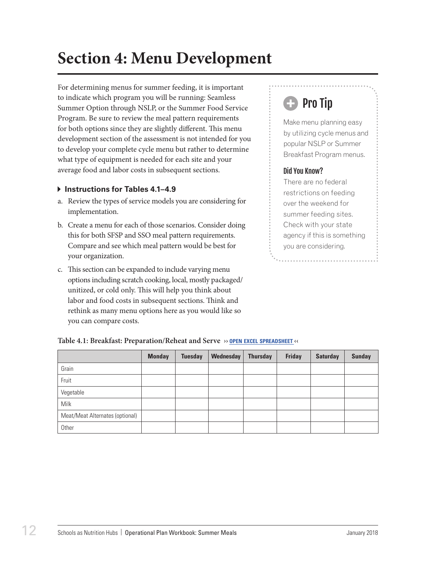## <span id="page-13-0"></span>**Section 4: Menu Development**

For determining menus for summer feeding, it is important to indicate which program you will be running: Seamless Summer Option through NSLP, or the Summer Food Service Program. Be sure to review the meal pattern requirements for both options since they are slightly different. This menu development section of the assessment is not intended for you to develop your complete cycle menu but rather to determine what type of equipment is needed for each site and your average food and labor costs in subsequent sections.

#### **Instructions for Tables 4.1–4.9**

- a. Review the types of service models you are considering for implementation.
- b. Create a menu for each of those scenarios. Consider doing this for both SFSP and SSO meal pattern requirements. Compare and see which meal pattern would be best for your organization.
- c. This section can be expanded to include varying menu options including scratch cooking, local, mostly packaged/ unitized, or cold only. This will help you think about labor and food costs in subsequent sections. Think and rethink as many menu options here as you would like so you can compare costs.

## **C** Pro Tip

Make menu planning easy by utilizing cycle menus and popular NSLP or Summer Breakfast Program menus.

#### Did You Know?

There are no federal restrictions on feeding over the weekend for summer feeding sites. Check with your state agency if this is something you are considering.

|                                 | <b>Monday</b> | <b>Tuesday</b> | Wednesday | <b>Thursday</b> | <b>Friday</b> | <b>Saturday</b> | <b>Sunday</b> |
|---------------------------------|---------------|----------------|-----------|-----------------|---------------|-----------------|---------------|
| Grain                           |               |                |           |                 |               |                 |               |
| Fruit                           |               |                |           |                 |               |                 |               |
| Vegetable                       |               |                |           |                 |               |                 |               |
| Milk                            |               |                |           |                 |               |                 |               |
| Meat/Meat Alternates (optional) |               |                |           |                 |               |                 |               |
| Other                           |               |                |           |                 |               |                 |               |

#### **Table 4.1: Breakfast: Preparation/Reheat and Serve ›› open excel [spreadsheet](https://schoolnutrition.org/uploadedFiles/2_Meetings_and_Events/SNF/Pages/summer-LR-121417.xlsx) ‹‹**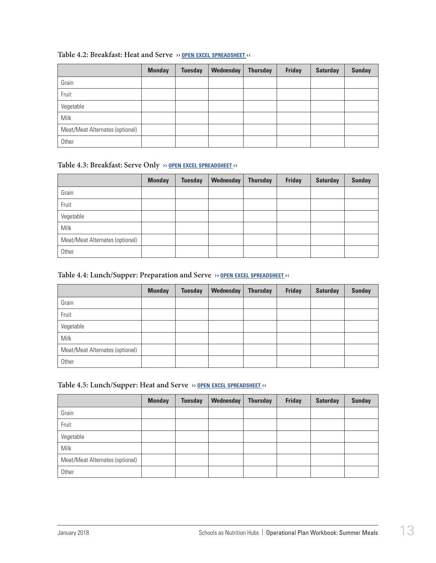|                                 | <b>Monday</b> | <b>Tuesday</b> | Wednesday | <b>Thursday</b> | <b>Friday</b> | <b>Saturday</b> | <b>Sunday</b> |
|---------------------------------|---------------|----------------|-----------|-----------------|---------------|-----------------|---------------|
| Grain                           |               |                |           |                 |               |                 |               |
| Fruit                           |               |                |           |                 |               |                 |               |
| Vegetable                       |               |                |           |                 |               |                 |               |
| Milk                            |               |                |           |                 |               |                 |               |
| Meat/Meat Alternates (optional) |               |                |           |                 |               |                 |               |
| Other                           |               |                |           |                 |               |                 |               |

#### **Table 4.2: Breakfast: Heat and Serve ›› open excel [spreadsheet](https://schoolnutrition.org/uploadedFiles/2_Meetings_and_Events/SNF/Pages/summer-LR-121417.xlsx) ‹‹**

#### **Table 4.3: Breakfast: Serve Only ›› open excel [spreadsheet](https://schoolnutrition.org/uploadedFiles/2_Meetings_and_Events/SNF/Pages/summer-LR-121417.xlsx) ‹‹**

|                                 | <b>Monday</b> | <b>Tuesday</b> | Wednesday | <b>Thursday</b> | <b>Friday</b> | <b>Saturday</b> | <b>Sunday</b> |
|---------------------------------|---------------|----------------|-----------|-----------------|---------------|-----------------|---------------|
| Grain                           |               |                |           |                 |               |                 |               |
| Fruit                           |               |                |           |                 |               |                 |               |
| Vegetable                       |               |                |           |                 |               |                 |               |
| Milk                            |               |                |           |                 |               |                 |               |
| Meat/Meat Alternates (optional) |               |                |           |                 |               |                 |               |
| Other                           |               |                |           |                 |               |                 |               |

#### **Table 4.4: Lunch/Supper: Preparation and Serve ›› open excel [spreadsheet](https://schoolnutrition.org/uploadedFiles/2_Meetings_and_Events/SNF/Pages/summer-LR-121417.xlsx) ‹‹**

|                                 | <b>Monday</b> | <b>Tuesday</b> | Wednesday | <b>Thursday</b> | <b>Friday</b> | <b>Saturday</b> | <b>Sunday</b> |
|---------------------------------|---------------|----------------|-----------|-----------------|---------------|-----------------|---------------|
| Grain                           |               |                |           |                 |               |                 |               |
| Fruit                           |               |                |           |                 |               |                 |               |
| Vegetable                       |               |                |           |                 |               |                 |               |
| Milk                            |               |                |           |                 |               |                 |               |
| Meat/Meat Alternates (optional) |               |                |           |                 |               |                 |               |
| Other                           |               |                |           |                 |               |                 |               |

#### **Table 4.5: Lunch/Supper: Heat and Serve ›› open excel [spreadsheet](https://schoolnutrition.org/uploadedFiles/2_Meetings_and_Events/SNF/Pages/summer-LR-121417.xlsx) ‹‹**

|                                 | <b>Monday</b> | <b>Tuesday</b> | Wednesday | <b>Thursday</b> | <b>Friday</b> | <b>Saturday</b> | <b>Sunday</b> |
|---------------------------------|---------------|----------------|-----------|-----------------|---------------|-----------------|---------------|
| Grain                           |               |                |           |                 |               |                 |               |
| Fruit                           |               |                |           |                 |               |                 |               |
| Vegetable                       |               |                |           |                 |               |                 |               |
| Milk                            |               |                |           |                 |               |                 |               |
| Meat/Meat Alternates (optional) |               |                |           |                 |               |                 |               |
| Other                           |               |                |           |                 |               |                 |               |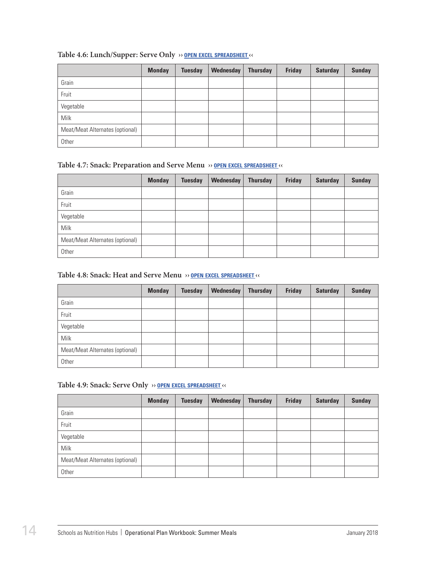|                                 | <b>Monday</b> | <b>Tuesday</b> | Wednesday | <b>Thursday</b> | <b>Friday</b> | <b>Saturday</b> | <b>Sunday</b> |
|---------------------------------|---------------|----------------|-----------|-----------------|---------------|-----------------|---------------|
| Grain                           |               |                |           |                 |               |                 |               |
| Fruit                           |               |                |           |                 |               |                 |               |
| Vegetable                       |               |                |           |                 |               |                 |               |
| Milk                            |               |                |           |                 |               |                 |               |
| Meat/Meat Alternates (optional) |               |                |           |                 |               |                 |               |
| Other                           |               |                |           |                 |               |                 |               |

#### **Table 4.6: Lunch/Supper: Serve Only ›› open excel [spreadsheet](https://schoolnutrition.org/uploadedFiles/2_Meetings_and_Events/SNF/Pages/summer-LR-121417.xlsx) ‹‹**

#### **Table 4.7: Snack: Preparation and Serve Menu ›› open excel [spreadsheet](https://schoolnutrition.org/uploadedFiles/2_Meetings_and_Events/SNF/Pages/summer-LR-121417.xlsx) ‹‹**

|                                 | <b>Monday</b> | <b>Tuesday</b> | Wednesday | <b>Thursday</b> | <b>Friday</b> | <b>Saturday</b> | <b>Sunday</b> |
|---------------------------------|---------------|----------------|-----------|-----------------|---------------|-----------------|---------------|
| Grain                           |               |                |           |                 |               |                 |               |
| Fruit                           |               |                |           |                 |               |                 |               |
| Vegetable                       |               |                |           |                 |               |                 |               |
| Milk                            |               |                |           |                 |               |                 |               |
| Meat/Meat Alternates (optional) |               |                |           |                 |               |                 |               |
| Other                           |               |                |           |                 |               |                 |               |

#### **Table 4.8: Snack: Heat and Serve Menu ›› open excel [spreadsheet](https://schoolnutrition.org/uploadedFiles/2_Meetings_and_Events/SNF/Pages/summer-LR-121417.xlsx) ‹‹**

|                                 | <b>Monday</b> | <b>Tuesday</b> | Wednesday | <b>Thursday</b> | <b>Friday</b> | <b>Saturday</b> | <b>Sunday</b> |
|---------------------------------|---------------|----------------|-----------|-----------------|---------------|-----------------|---------------|
| Grain                           |               |                |           |                 |               |                 |               |
| Fruit                           |               |                |           |                 |               |                 |               |
| Vegetable                       |               |                |           |                 |               |                 |               |
| Milk                            |               |                |           |                 |               |                 |               |
| Meat/Meat Alternates (optional) |               |                |           |                 |               |                 |               |
| Other                           |               |                |           |                 |               |                 |               |

#### **Table 4.9: Snack: Serve Only ›› open excel [spreadsheet](https://schoolnutrition.org/uploadedFiles/2_Meetings_and_Events/SNF/Pages/summer-LR-121417.xlsx) ‹‹**

|                                 | <b>Monday</b> | <b>Tuesday</b> | Wednesday | <b>Thursday</b> | <b>Friday</b> | <b>Saturday</b> | <b>Sunday</b> |
|---------------------------------|---------------|----------------|-----------|-----------------|---------------|-----------------|---------------|
| Grain                           |               |                |           |                 |               |                 |               |
| Fruit                           |               |                |           |                 |               |                 |               |
| Vegetable                       |               |                |           |                 |               |                 |               |
| Milk                            |               |                |           |                 |               |                 |               |
| Meat/Meat Alternates (optional) |               |                |           |                 |               |                 |               |
| Other                           |               |                |           |                 |               |                 |               |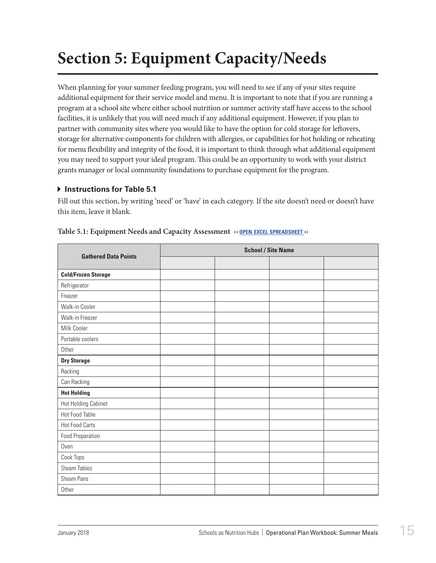## <span id="page-16-0"></span>**Section 5: Equipment Capacity/Needs**

When planning for your summer feeding program, you will need to see if any of your sites require additional equipment for their service model and menu. It is important to note that if you are running a program at a school site where either school nutrition or summer activity staff have access to the school facilities, it is unlikely that you will need much if any additional equipment. However, if you plan to partner with community sites where you would like to have the option for cold storage for leftovers, storage for alternative components for children with allergies, or capabilities for hot holding or reheating for menu flexibility and integrity of the food, it is important to think through what additional equipment you may need to support your ideal program. This could be an opportunity to work with your district grants manager or local community foundations to purchase equipment for the program.

#### $\triangleright$  **Instructions for Table 5.1**

Fill out this section, by writing 'need' or 'have' in each category. If the site doesn't need or doesn't have this item, leave it blank.

| <b>Gathered Data Points</b> | <b>School / Site Name</b> |  |  |  |  |
|-----------------------------|---------------------------|--|--|--|--|
|                             |                           |  |  |  |  |
| <b>Cold/Frozen Storage</b>  |                           |  |  |  |  |
| Refrigerator                |                           |  |  |  |  |
| Freezer                     |                           |  |  |  |  |
| Walk-in Cooler              |                           |  |  |  |  |
| Walk-in Freezer             |                           |  |  |  |  |
| Milk Cooler                 |                           |  |  |  |  |
| Portable coolers            |                           |  |  |  |  |
| Other                       |                           |  |  |  |  |
| <b>Dry Storage</b>          |                           |  |  |  |  |
| Racking                     |                           |  |  |  |  |
| Can Racking                 |                           |  |  |  |  |
| <b>Hot Holding</b>          |                           |  |  |  |  |
| <b>Hot Holding Cabinet</b>  |                           |  |  |  |  |
| Hot Food Table              |                           |  |  |  |  |
| <b>Hot Food Carts</b>       |                           |  |  |  |  |
| Food Preparation            |                           |  |  |  |  |
| Oven                        |                           |  |  |  |  |
| Cook Tops                   |                           |  |  |  |  |
| <b>Steam Tables</b>         |                           |  |  |  |  |
| Steam Pans                  |                           |  |  |  |  |
| Other                       |                           |  |  |  |  |

| Table 5.1: Equipment Needs and Capacity Assessment >> OPEN EXCEL SPREADSHEET << |  |  |
|---------------------------------------------------------------------------------|--|--|
|---------------------------------------------------------------------------------|--|--|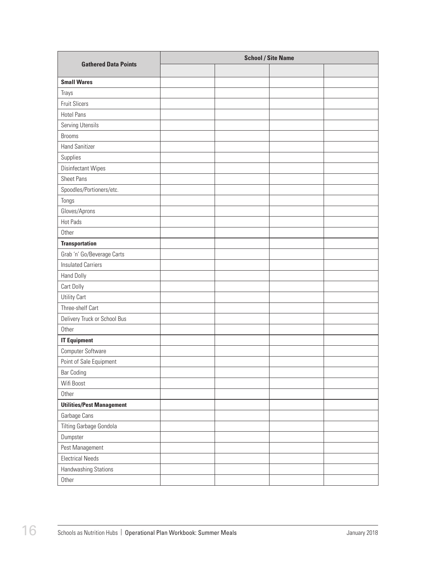| <b>Gathered Data Points</b>      | <b>School / Site Name</b> |  |  |  |  |
|----------------------------------|---------------------------|--|--|--|--|
|                                  |                           |  |  |  |  |
| <b>Small Wares</b>               |                           |  |  |  |  |
| Trays                            |                           |  |  |  |  |
| <b>Fruit Slicers</b>             |                           |  |  |  |  |
| <b>Hotel Pans</b>                |                           |  |  |  |  |
| Serving Utensils                 |                           |  |  |  |  |
| <b>Brooms</b>                    |                           |  |  |  |  |
| <b>Hand Sanitizer</b>            |                           |  |  |  |  |
| Supplies                         |                           |  |  |  |  |
| Disinfectant Wipes               |                           |  |  |  |  |
| <b>Sheet Pans</b>                |                           |  |  |  |  |
| Spoodles/Portioners/etc.         |                           |  |  |  |  |
| Tongs                            |                           |  |  |  |  |
| Gloves/Aprons                    |                           |  |  |  |  |
| Hot Pads                         |                           |  |  |  |  |
| Other                            |                           |  |  |  |  |
| <b>Transportation</b>            |                           |  |  |  |  |
| Grab 'n' Go/Beverage Carts       |                           |  |  |  |  |
| <b>Insulated Carriers</b>        |                           |  |  |  |  |
| Hand Dolly                       |                           |  |  |  |  |
| Cart Dolly                       |                           |  |  |  |  |
| Utility Cart                     |                           |  |  |  |  |
| Three-shelf Cart                 |                           |  |  |  |  |
| Delivery Truck or School Bus     |                           |  |  |  |  |
| Other                            |                           |  |  |  |  |
| <b>IT Equipment</b>              |                           |  |  |  |  |
| Computer Software                |                           |  |  |  |  |
| Point of Sale Equipment          |                           |  |  |  |  |
| <b>Bar Coding</b>                |                           |  |  |  |  |
| Wifi Boost                       |                           |  |  |  |  |
| Other                            |                           |  |  |  |  |
| <b>Utilities/Pest Management</b> |                           |  |  |  |  |
| Garbage Cans                     |                           |  |  |  |  |
| Tilting Garbage Gondola          |                           |  |  |  |  |
| Dumpster                         |                           |  |  |  |  |
| Pest Management                  |                           |  |  |  |  |
| <b>Electrical Needs</b>          |                           |  |  |  |  |
| Handwashing Stations             |                           |  |  |  |  |
| Other                            |                           |  |  |  |  |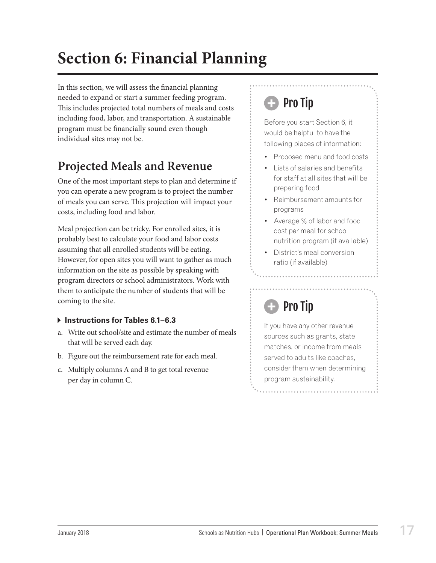## <span id="page-18-0"></span>**Section 6: Financial Planning**

In this section, we will assess the financial planning needed to expand or start a summer feeding program. This includes projected total numbers of meals and costs including food, labor, and transportation. A sustainable program must be financially sound even though individual sites may not be.

### **Projected Meals and Revenue**

One of the most important steps to plan and determine if you can operate a new program is to project the number of meals you can serve. This projection will impact your costs, including food and labor.

Meal projection can be tricky. For enrolled sites, it is probably best to calculate your food and labor costs assuming that all enrolled students will be eating. However, for open sites you will want to gather as much information on the site as possible by speaking with program directors or school administrators. Work with them to anticipate the number of students that will be coming to the site.

#### **Instructions for Tables 6.1–6.3**

- a. Write out school/site and estimate the number of meals that will be served each day.
- b. Figure out the reimbursement rate for each meal.
- c. Multiply columns A and B to get total revenue per day in column C.

## **Pro Tip**

Before you start Section 6, it would be helpful to have the following pieces of information:

- Proposed menu and food costs
- Lists of salaries and benefits for staff at all sites that will be preparing food
- Reimbursement amounts for programs
- Average % of labor and food cost per meal for school nutrition program (if available)
- District's meal conversion ratio (if available)

## Pro Tip

If you have any other revenue sources such as grants, state matches, or income from meals served to adults like coaches. consider them when determining program sustainability.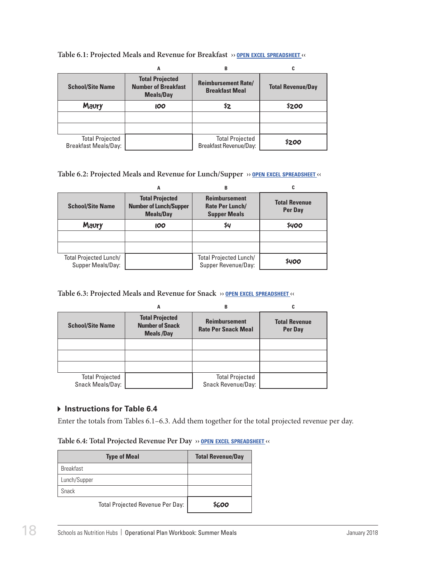|                                                       | Α                                                                        | B                                                   | C                        |
|-------------------------------------------------------|--------------------------------------------------------------------------|-----------------------------------------------------|--------------------------|
| <b>School/Site Name</b>                               | <b>Total Projected</b><br><b>Number of Breakfast</b><br><b>Meals/Day</b> | <b>Reimbursement Rate/</b><br><b>Breakfast Meal</b> | <b>Total Revenue/Day</b> |
| Maury                                                 | <b>100</b>                                                               | \$2                                                 | \$200                    |
|                                                       |                                                                          |                                                     |                          |
|                                                       |                                                                          |                                                     |                          |
| <b>Total Projected</b><br><b>Breakfast Meals/Day:</b> |                                                                          | <b>Total Projected</b><br>Breakfast Revenue/Day:    | \$200                    |

#### **Table 6.1: Projected Meals and Revenue for Breakfast ›› open excel [spreadsheet](https://schoolnutrition.org/uploadedFiles/2_Meetings_and_Events/SNF/Pages/summer-LR-121417.xlsx) ‹‹**

#### **Table 6.2: Projected Meals and Revenue for Lunch/Supper ›› open excel [spreadsheet](https://schoolnutrition.org/uploadedFiles/2_Meetings_and_Events/SNF/Pages/summer-LR-121417.xlsx) ‹‹**

|                                             | А                                                                           | B                                                              |                                        |
|---------------------------------------------|-----------------------------------------------------------------------------|----------------------------------------------------------------|----------------------------------------|
| <b>School/Site Name</b>                     | <b>Total Projected</b><br><b>Number of Lunch/Supper</b><br><b>Meals/Day</b> | <b>Reimbursement</b><br>Rate Per Lunch/<br><b>Supper Meals</b> | <b>Total Revenue</b><br><b>Per Day</b> |
| Maury                                       | <b>IOO</b>                                                                  | \$4                                                            | \$400                                  |
|                                             |                                                                             |                                                                |                                        |
|                                             |                                                                             |                                                                |                                        |
| Total Projected Lunch/<br>Supper Meals/Day: |                                                                             | <b>Total Projected Lunch/</b><br>Supper Revenue/Day:           | \$400                                  |

#### **Table 6.3: Projected Meals and Revenue for Snack ›› open excel [spreadsheet](https://schoolnutrition.org/uploadedFiles/2_Meetings_and_Events/SNF/Pages/summer-LR-121417.xlsx) ‹‹**

|                                            | Α                                                                     | в                                                  |                                        |
|--------------------------------------------|-----------------------------------------------------------------------|----------------------------------------------------|----------------------------------------|
| <b>School/Site Name</b>                    | <b>Total Projected</b><br><b>Number of Snack</b><br><b>Meals /Day</b> | <b>Reimbursement</b><br><b>Rate Per Snack Meal</b> | <b>Total Revenue</b><br><b>Per Day</b> |
|                                            |                                                                       |                                                    |                                        |
|                                            |                                                                       |                                                    |                                        |
|                                            |                                                                       |                                                    |                                        |
| <b>Total Projected</b><br>Snack Meals/Day: |                                                                       | <b>Total Projected</b><br>Snack Revenue/Day:       |                                        |

#### **Instructions for Table 6.4**

Enter the totals from Tables 6.1–6.3. Add them together for the total projected revenue per day.

| Table 6.4: Total Projected Revenue Per Day >> OPEN EXCEL SPREADSHEET |  |  |  |
|----------------------------------------------------------------------|--|--|--|
|----------------------------------------------------------------------|--|--|--|

| <b>Type of Meal</b>              | <b>Total Revenue/Day</b> |
|----------------------------------|--------------------------|
| <b>Breakfast</b>                 |                          |
| Lunch/Supper                     |                          |
| <b>Snack</b>                     |                          |
| Total Projected Revenue Per Day: |                          |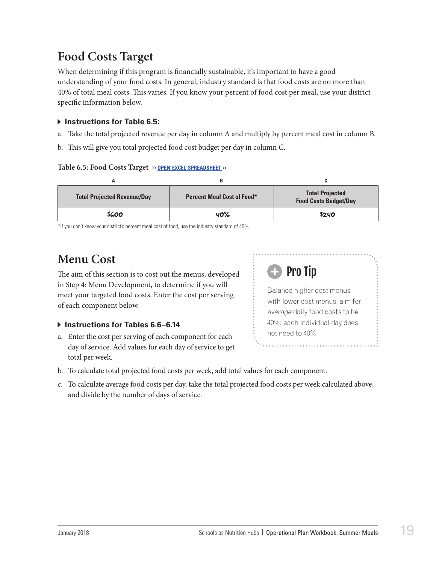### <span id="page-20-0"></span>**Food Costs Target**

When determining if this program is financially sustainable, it's important to have a good understanding of your food costs. In general, industry standard is that food costs are no more than 40% of total meal costs. This varies. If you know your percent of food cost per meal, use your district specific information below.

#### $\blacktriangleright$  Instructions for Table 6.5:

- a. Take the total projected revenue per day in column A and multiply by percent meal cost in column B.
- b. This will give you total projected food cost budget per day in column C.

#### **Table 6.5: Food Costs Target ›› open excel [spreadsheet](https://schoolnutrition.org/uploadedFiles/2_Meetings_and_Events/SNF/Pages/summer-LR-121417.xlsx) ‹‹**

| <b>Total Projected Revenue/Day</b> | <b>Percent Meal Cost of Food*</b> | <b>Total Projected</b><br><b>Food Costs Budget/Day</b> |
|------------------------------------|-----------------------------------|--------------------------------------------------------|
| \$600                              | 40%                               | \$240                                                  |

\*If you don't know your district's percent meal cost of food, use the industry standard of 40%.

### **Menu Cost**

The aim of this section is to cost out the menus, developed in Step 4: Menu Development, to determine if you will meet your targeted food costs. Enter the cost per serving of each component below.

#### **Instructions for Tables 6.6–6.14**

a. Enter the cost per serving of each component for each day of service. Add values for each day of service to get total per week.



- b. To calculate total projected food costs per week, add total values for each component.
- c. To calculate average food costs per day, take the total projected food costs per week calculated above, and divide by the number of days of service.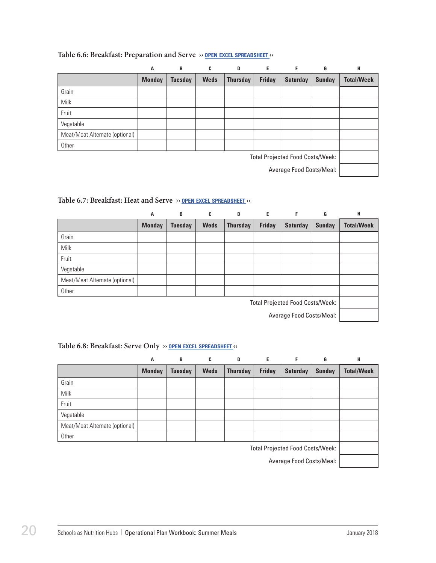|                                         | A             | B              | C           | D               | E.            | F               | G             | Н                 |
|-----------------------------------------|---------------|----------------|-------------|-----------------|---------------|-----------------|---------------|-------------------|
|                                         | <b>Monday</b> | <b>Tuesday</b> | <b>Weds</b> | <b>Thursday</b> | <b>Friday</b> | <b>Saturday</b> | <b>Sunday</b> | <b>Total/Week</b> |
| Grain                                   |               |                |             |                 |               |                 |               |                   |
| <b>Milk</b>                             |               |                |             |                 |               |                 |               |                   |
| Fruit                                   |               |                |             |                 |               |                 |               |                   |
| Vegetable                               |               |                |             |                 |               |                 |               |                   |
| Meat/Meat Alternate (optional)          |               |                |             |                 |               |                 |               |                   |
| Other                                   |               |                |             |                 |               |                 |               |                   |
| <b>Total Projected Food Costs/Week:</b> |               |                |             |                 |               |                 |               |                   |
| Average Food Costs/Meal:                |               |                |             |                 |               |                 |               |                   |

#### **Table 6.6: Breakfast: Preparation and Serve ›› open excel [spreadsheet](https://schoolnutrition.org/uploadedFiles/2_Meetings_and_Events/SNF/Pages/summer-LR-121417.xlsx) ‹‹**

#### **Table 6.7: Breakfast: Heat and Serve ›› open excel [spreadsheet](https://schoolnutrition.org/uploadedFiles/2_Meetings_and_Events/SNF/Pages/summer-LR-121417.xlsx) ‹‹**

|                                         | A             | B              | C           | D               | Е             | F               | G             | н                 |
|-----------------------------------------|---------------|----------------|-------------|-----------------|---------------|-----------------|---------------|-------------------|
|                                         | <b>Monday</b> | <b>Tuesday</b> | <b>Weds</b> | <b>Thursday</b> | <b>Friday</b> | <b>Saturday</b> | <b>Sunday</b> | <b>Total/Week</b> |
| Grain                                   |               |                |             |                 |               |                 |               |                   |
| <b>Milk</b>                             |               |                |             |                 |               |                 |               |                   |
| Fruit                                   |               |                |             |                 |               |                 |               |                   |
| Vegetable                               |               |                |             |                 |               |                 |               |                   |
| Meat/Meat Alternate (optional)          |               |                |             |                 |               |                 |               |                   |
| Other                                   |               |                |             |                 |               |                 |               |                   |
| <b>Total Projected Food Costs/Week:</b> |               |                |             |                 |               |                 |               |                   |
| Average Food Costs/Meal:                |               |                |             |                 |               |                 |               |                   |

#### **Table 6.8: Breakfast: Serve Only ›› open excel [spreadsheet](https://schoolnutrition.org/uploadedFiles/2_Meetings_and_Events/SNF/Pages/summer-LR-121417.xlsx) ‹‹**

|                                         | A             | B              | C           | D               | Е             | F               | G             | H                 |
|-----------------------------------------|---------------|----------------|-------------|-----------------|---------------|-----------------|---------------|-------------------|
|                                         | <b>Monday</b> | <b>Tuesday</b> | <b>Weds</b> | <b>Thursday</b> | <b>Friday</b> | <b>Saturday</b> | <b>Sunday</b> | <b>Total/Week</b> |
| Grain                                   |               |                |             |                 |               |                 |               |                   |
| Milk                                    |               |                |             |                 |               |                 |               |                   |
| Fruit                                   |               |                |             |                 |               |                 |               |                   |
| Vegetable                               |               |                |             |                 |               |                 |               |                   |
| Meat/Meat Alternate (optional)          |               |                |             |                 |               |                 |               |                   |
| Other                                   |               |                |             |                 |               |                 |               |                   |
| <b>Total Projected Food Costs/Week:</b> |               |                |             |                 |               |                 |               |                   |

Average Food Costs/Meal: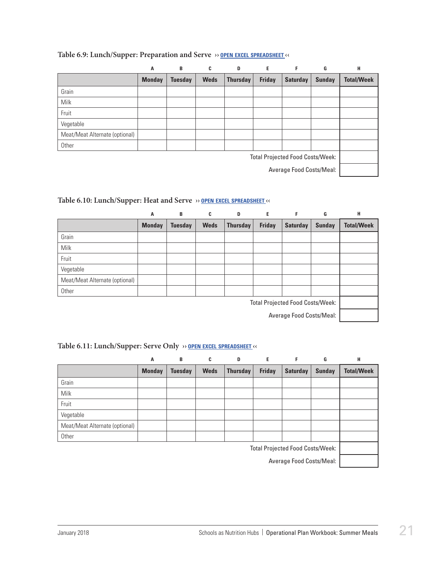|                                         | A             | B              | C           | D               | Е             | F               | G             | Н                 |
|-----------------------------------------|---------------|----------------|-------------|-----------------|---------------|-----------------|---------------|-------------------|
|                                         | <b>Monday</b> | <b>Tuesday</b> | <b>Weds</b> | <b>Thursday</b> | <b>Friday</b> | <b>Saturday</b> | <b>Sunday</b> | <b>Total/Week</b> |
| Grain                                   |               |                |             |                 |               |                 |               |                   |
| <b>Milk</b>                             |               |                |             |                 |               |                 |               |                   |
| Fruit                                   |               |                |             |                 |               |                 |               |                   |
| Vegetable                               |               |                |             |                 |               |                 |               |                   |
| Meat/Meat Alternate (optional)          |               |                |             |                 |               |                 |               |                   |
| Other                                   |               |                |             |                 |               |                 |               |                   |
| <b>Total Projected Food Costs/Week:</b> |               |                |             |                 |               |                 |               |                   |
| Average Food Costs/Meal:                |               |                |             |                 |               |                 |               |                   |

#### **Table 6.9: Lunch/Supper: Preparation and Serve ›› open excel [spreadsheet](https://schoolnutrition.org/uploadedFiles/2_Meetings_and_Events/SNF/Pages/summer-LR-121417.xlsx) ‹‹**

#### **Table 6.10: Lunch/Supper: Heat and Serve ›› open excel [spreadsheet](https://schoolnutrition.org/uploadedFiles/2_Meetings_and_Events/SNF/Pages/summer-LR-121417.xlsx) ‹‹**

|                                         | A             | B              | C           | D               | E             | F               | G             | н                 |
|-----------------------------------------|---------------|----------------|-------------|-----------------|---------------|-----------------|---------------|-------------------|
|                                         | <b>Monday</b> | <b>Tuesday</b> | <b>Weds</b> | <b>Thursday</b> | <b>Friday</b> | <b>Saturday</b> | <b>Sunday</b> | <b>Total/Week</b> |
| Grain                                   |               |                |             |                 |               |                 |               |                   |
| <b>Milk</b>                             |               |                |             |                 |               |                 |               |                   |
| Fruit                                   |               |                |             |                 |               |                 |               |                   |
| Vegetable                               |               |                |             |                 |               |                 |               |                   |
| Meat/Meat Alternate (optional)          |               |                |             |                 |               |                 |               |                   |
| Other                                   |               |                |             |                 |               |                 |               |                   |
| <b>Total Projected Food Costs/Week:</b> |               |                |             |                 |               |                 |               |                   |
| Average Food Costs/Meal:                |               |                |             |                 |               |                 |               |                   |

#### **Table 6.11: Lunch/Supper: Serve Only ›› open excel [spreadsheet](https://schoolnutrition.org/uploadedFiles/2_Meetings_and_Events/SNF/Pages/summer-LR-121417.xlsx) ‹‹**

|                                         | Α             | B              | C           | D               | E             | F               | G             | н                 |
|-----------------------------------------|---------------|----------------|-------------|-----------------|---------------|-----------------|---------------|-------------------|
|                                         | <b>Monday</b> | <b>Tuesday</b> | <b>Weds</b> | <b>Thursday</b> | <b>Friday</b> | <b>Saturday</b> | <b>Sunday</b> | <b>Total/Week</b> |
| Grain                                   |               |                |             |                 |               |                 |               |                   |
| Milk                                    |               |                |             |                 |               |                 |               |                   |
| Fruit                                   |               |                |             |                 |               |                 |               |                   |
| Vegetable                               |               |                |             |                 |               |                 |               |                   |
| Meat/Meat Alternate (optional)          |               |                |             |                 |               |                 |               |                   |
| Other                                   |               |                |             |                 |               |                 |               |                   |
| <b>Total Projected Food Costs/Week:</b> |               |                |             |                 |               |                 |               |                   |

Average Food Costs/Meal: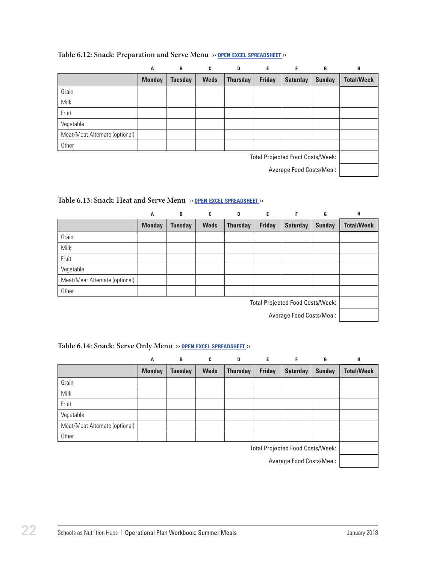|                                         | A             | B              | C           | D               | Е             | F               | G             | Н                 |
|-----------------------------------------|---------------|----------------|-------------|-----------------|---------------|-----------------|---------------|-------------------|
|                                         | <b>Monday</b> | <b>Tuesday</b> | <b>Weds</b> | <b>Thursday</b> | <b>Friday</b> | <b>Saturday</b> | <b>Sunday</b> | <b>Total/Week</b> |
| Grain                                   |               |                |             |                 |               |                 |               |                   |
| Milk                                    |               |                |             |                 |               |                 |               |                   |
| Fruit                                   |               |                |             |                 |               |                 |               |                   |
| Vegetable                               |               |                |             |                 |               |                 |               |                   |
| Meat/Meat Alternate (optional)          |               |                |             |                 |               |                 |               |                   |
| Other                                   |               |                |             |                 |               |                 |               |                   |
| <b>Total Projected Food Costs/Week:</b> |               |                |             |                 |               |                 |               |                   |
| Average Food Costs/Meal:                |               |                |             |                 |               |                 |               |                   |

#### **Table 6.12: Snack: Preparation and Serve Menu ›› open excel [spreadsheet](https://schoolnutrition.org/uploadedFiles/2_Meetings_and_Events/SNF/Pages/summer-LR-121417.xlsx) ‹‹**

#### **Table 6.13: Snack: Heat and Serve Menu ›› open excel [spreadsheet](https://schoolnutrition.org/uploadedFiles/2_Meetings_and_Events/SNF/Pages/summer-LR-121417.xlsx) ‹‹**

|                                         | A             | B              | C           | D               | E             | F               | G             | н                 |
|-----------------------------------------|---------------|----------------|-------------|-----------------|---------------|-----------------|---------------|-------------------|
|                                         | <b>Monday</b> | <b>Tuesday</b> | <b>Weds</b> | <b>Thursday</b> | <b>Friday</b> | <b>Saturday</b> | <b>Sunday</b> | <b>Total/Week</b> |
| Grain                                   |               |                |             |                 |               |                 |               |                   |
| <b>Milk</b>                             |               |                |             |                 |               |                 |               |                   |
| Fruit                                   |               |                |             |                 |               |                 |               |                   |
| Vegetable                               |               |                |             |                 |               |                 |               |                   |
| Meat/Meat Alternate (optional)          |               |                |             |                 |               |                 |               |                   |
| Other                                   |               |                |             |                 |               |                 |               |                   |
| <b>Total Projected Food Costs/Week:</b> |               |                |             |                 |               |                 |               |                   |
| Average Food Costs/Meal:                |               |                |             |                 |               |                 |               |                   |

#### **Table 6.14: Snack: Serve Only Menu ›› open excel [spreadsheet](https://schoolnutrition.org/uploadedFiles/2_Meetings_and_Events/SNF/Pages/summer-LR-121417.xlsx) ‹‹**

|                                         | Α             | B              | C           | D               | Е             | F               | G             | Н                 |
|-----------------------------------------|---------------|----------------|-------------|-----------------|---------------|-----------------|---------------|-------------------|
|                                         | <b>Monday</b> | <b>Tuesday</b> | <b>Weds</b> | <b>Thursday</b> | <b>Friday</b> | <b>Saturday</b> | <b>Sunday</b> | <b>Total/Week</b> |
| Grain                                   |               |                |             |                 |               |                 |               |                   |
| Milk                                    |               |                |             |                 |               |                 |               |                   |
| Fruit                                   |               |                |             |                 |               |                 |               |                   |
| Vegetable                               |               |                |             |                 |               |                 |               |                   |
| Meat/Meat Alternate (optional)          |               |                |             |                 |               |                 |               |                   |
| Other                                   |               |                |             |                 |               |                 |               |                   |
| <b>Total Projected Food Costs/Week:</b> |               |                |             |                 |               |                 |               |                   |

Average Food Costs/Meal: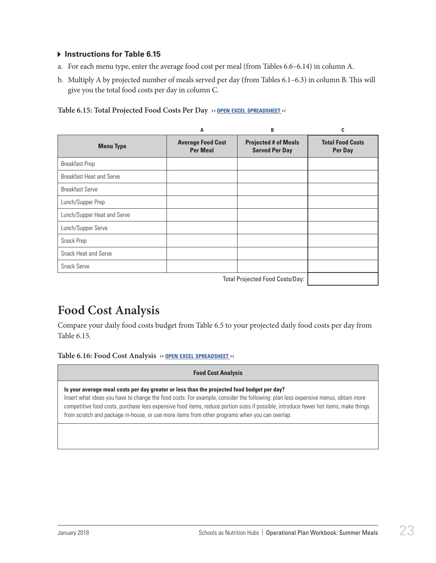#### <span id="page-24-0"></span> $\triangleright$  Instructions for Table 6.15

- a. For each menu type, enter the average food cost per meal (from Tables 6.6–6.14) in column A.
- b. Multiply A by projected number of meals served per day **(**from Tables 6.1–6.3) in column B. This will give you the total food costs per day in column C.

| Table 6.15: Total Projected Food Costs Per Day >> OPEN EXCEL SPREADSHEET << |  |
|-----------------------------------------------------------------------------|--|
|-----------------------------------------------------------------------------|--|

|                             | A                                           | B                                                    | C                                  |
|-----------------------------|---------------------------------------------|------------------------------------------------------|------------------------------------|
| <b>Menu Type</b>            | <b>Average Food Cost</b><br><b>Per Meal</b> | <b>Projected # of Meals</b><br><b>Served Per Day</b> | <b>Total Food Costs</b><br>Per Day |
| <b>Breakfast Prep</b>       |                                             |                                                      |                                    |
| Breakfast Heat and Serve    |                                             |                                                      |                                    |
| <b>Breakfast Serve</b>      |                                             |                                                      |                                    |
| Lunch/Supper Prep           |                                             |                                                      |                                    |
| Lunch/Supper Heat and Serve |                                             |                                                      |                                    |
| Lunch/Supper Serve          |                                             |                                                      |                                    |
| Snack Prep                  |                                             |                                                      |                                    |
| <b>Snack Heat and Serve</b> |                                             |                                                      |                                    |
| <b>Snack Serve</b>          |                                             |                                                      |                                    |
|                             |                                             | <b>Total Projected Food Costs/Day:</b>               |                                    |

### **Food Cost Analysis**

Compare your daily food costs budget from Table 6.5 to your projected daily food costs per day from Table 6.15.

**Table 6.16: Food Cost Analysis ›› open excel [spreadsheet](https://schoolnutrition.org/uploadedFiles/2_Meetings_and_Events/SNF/Pages/summer-LR-121417.xlsx) ‹‹**

| <b>Food Cost Analysis</b>                                                                                                                                                                                                                                                                                                                                                                                                                                                |
|--------------------------------------------------------------------------------------------------------------------------------------------------------------------------------------------------------------------------------------------------------------------------------------------------------------------------------------------------------------------------------------------------------------------------------------------------------------------------|
| Is your average meal costs per day greater or less than the projected food budget per day?<br>Insert what ideas you have to change the food costs. For example, consider the following: plan less expensive menus, obtain more<br>competitive food costs, purchase less expensive food items, reduce portion sizes if possible, introduce fewer hot items, make things<br>from scratch and package in-house, or use more items from other programs when you can overlap. |
|                                                                                                                                                                                                                                                                                                                                                                                                                                                                          |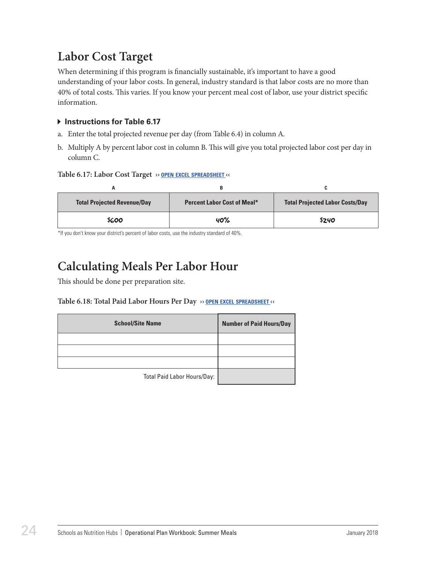### <span id="page-25-0"></span>**Labor Cost Target**

When determining if this program is financially sustainable, it's important to have a good understanding of your labor costs. In general, industry standard is that labor costs are no more than 40% of total costs. This varies. If you know your percent meal cost of labor, use your district specific information.

#### **Instructions for Table 6.17**

- a. Enter the total projected revenue per day (from Table 6.4) in column A.
- b. Multiply A by percent labor cost in column B. This will give you total projected labor cost per day in column C.

#### **Table 6.17: Labor Cost Target ›› open excel [spreadsheet](https://schoolnutrition.org/uploadedFiles/2_Meetings_and_Events/SNF/Pages/summer-LR-121417.xlsx) ‹‹**

| <b>Total Projected Revenue/Day</b> | <b>Percent Labor Cost of Meal*</b> | <b>Total Projected Labor Costs/Day</b> |
|------------------------------------|------------------------------------|----------------------------------------|
| \$600                              | 40%                                | \$240                                  |

\*If you don't know your district's percent of labor costs, use the industry standard of 40%.

## **Calculating Meals Per Labor Hour**

This should be done per preparation site.

#### **Table 6.18: Total Paid Labor Hours Per Day ›› open excel [spreadsheet](https://schoolnutrition.org/uploadedFiles/2_Meetings_and_Events/SNF/Pages/summer-LR-121417.xlsx) ‹‹**

| <b>School/Site Name</b>     | <b>Number of Paid Hours/Day</b> |
|-----------------------------|---------------------------------|
|                             |                                 |
|                             |                                 |
|                             |                                 |
| Total Paid Labor Hours/Day: |                                 |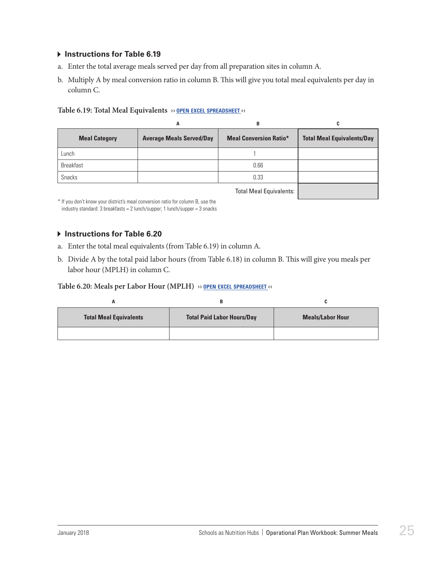#### **Instructions for Table 6.19**

- a. Enter the total average meals served per day from all preparation sites in column A.
- b. Multiply A by meal conversion ratio in column B. This will give you total meal equivalents per day in column C.

#### **Table 6.19: Total Meal Equivalents ›› open excel [spreadsheet](https://schoolnutrition.org/uploadedFiles/2_Meetings_and_Events/SNF/Pages/summer-LR-121417.xlsx) ‹‹**

|                      | A                               | B                             | C                                 |
|----------------------|---------------------------------|-------------------------------|-----------------------------------|
| <b>Meal Category</b> | <b>Average Meals Served/Day</b> | <b>Meal Conversion Ratio*</b> | <b>Total Meal Equivalents/Day</b> |
| Lunch                |                                 |                               |                                   |
| <b>Breakfast</b>     |                                 | 0.66                          |                                   |
| <b>Snacks</b>        |                                 | 0.33                          |                                   |
|                      |                                 | Total Moal Equivalanter       |                                   |

Total Meal Equivalents:

\* If you don't know your district's meal conversion ratio for column B, use the industry standard: 3 breakfasts = 2 lunch/supper; 1 lunch/supper = 3 snacks

#### **Instructions for Table 6.20**

- a. Enter the total meal equivalents (from Table 6.19) in column A.
- b. Divide A by the total paid labor hours (from Table 6.18) in column B. This will give you meals per labor hour (MPLH) in column C.

#### **Table 6.20: Meals per Labor Hour (MPLH) ›› open excel [spreadsheet](https://schoolnutrition.org/uploadedFiles/2_Meetings_and_Events/SNF/Pages/summer-LR-121417.xlsx) ‹‹**

| n                             |                                   |                         |
|-------------------------------|-----------------------------------|-------------------------|
| <b>Total Meal Equivalents</b> | <b>Total Paid Labor Hours/Day</b> | <b>Meals/Labor Hour</b> |
|                               |                                   |                         |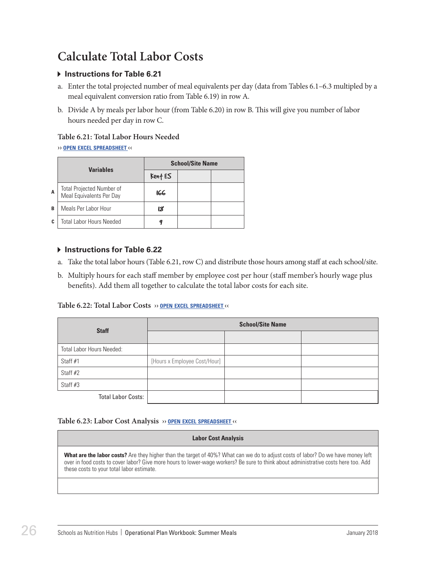### <span id="page-27-0"></span>**Calculate Total Labor Costs**

#### **Instructions for Table 6.21**

- a. Enter the total projected number of meal equivalents per day (data from Tables 6.1–6.3 multipled by a meal equivalent conversion ratio from Table 6.19) in row A.
- b. Divide A by meals per labor hour (from Table 6.20) in row B. This will give you number of labor hours needed per day in row C.

#### **Table 6.21: Total Labor Hours Needed**

#### **›› open excel [spreadsheet](https://schoolnutrition.org/uploadedFiles/2_Meetings_and_Events/SNF/Pages/summer-LR-121417.xlsx) ‹‹**

|    | <b>Variables</b>                                        | <b>School/Site Name</b> |  |  |
|----|---------------------------------------------------------|-------------------------|--|--|
|    |                                                         | Kent ES                 |  |  |
| A  | Total Projected Number of<br>  Meal Equivalents Per Day | 166                     |  |  |
| В  | Meals Per Labor Hour                                    | 18                      |  |  |
| C. | <b>Total Labor Hours Needed</b>                         |                         |  |  |

#### **Instructions for Table 6.22**

- a. Take the total labor hours (Table 6.21, row C) and distribute those hours among staff at each school/site.
- b. Multiply hours for each staff member by employee cost per hour (staff member's hourly wage plus benefits). Add them all together to calculate the total labor costs for each site.

#### **Table 6.22: Total Labor Costs ›› open excel [spreadsheet](https://schoolnutrition.org/uploadedFiles/2_Meetings_and_Events/SNF/Pages/summer-LR-121417.xlsx) ‹‹**

| <b>Staff</b>              | <b>School/Site Name</b>      |  |  |
|---------------------------|------------------------------|--|--|
|                           |                              |  |  |
| Total Labor Hours Needed: |                              |  |  |
| Staff #1                  | [Hours x Employee Cost/Hour] |  |  |
| Staff #2                  |                              |  |  |
| Staff #3                  |                              |  |  |
| <b>Total Labor Costs:</b> |                              |  |  |

#### **Table 6.23: Labor Cost Analysis ›› open excel [spreadsheet](https://schoolnutrition.org/uploadedFiles/2_Meetings_and_Events/SNF/Pages/summer-LR-121417.xlsx) ‹‹**

#### **Labor Cost Analysis**

**What are the labor costs?** Are they higher than the target of 40%? What can we do to adjust costs of labor? Do we have money left over in food costs to cover labor? Give more hours to lower-wage workers? Be sure to think about administrative costs here too. Add these costs to your total labor estimate.